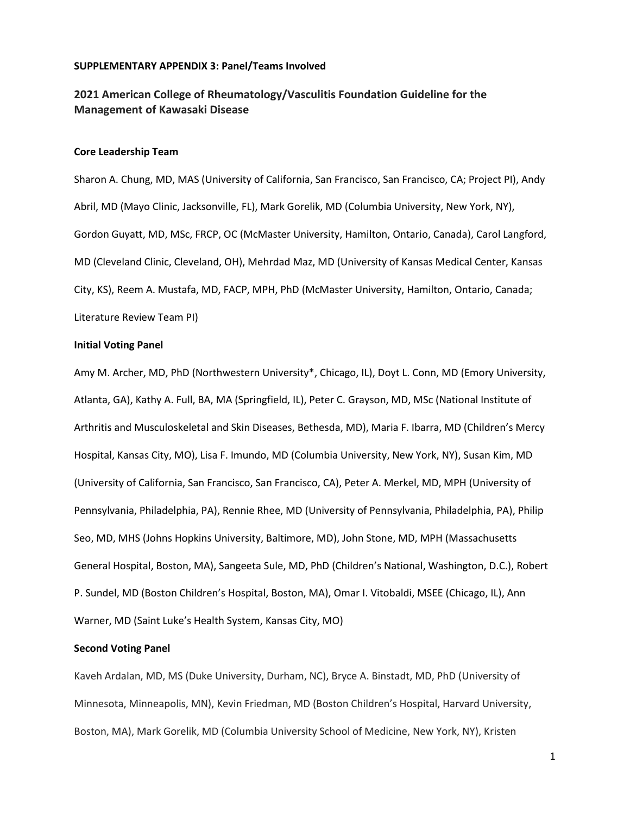## **SUPPLEMENTARY APPENDIX 3: Panel/Teams Involved**

# **2021 American College of Rheumatology/Vasculitis Foundation Guideline for the Management of Kawasaki Disease**

### **Core Leadership Team**

Sharon A. Chung, MD, MAS (University of California, San Francisco, San Francisco, CA; Project PI), Andy Abril, MD (Mayo Clinic, Jacksonville, FL), Mark Gorelik, MD (Columbia University, New York, NY), Gordon Guyatt, MD, MSc, FRCP, OC (McMaster University, Hamilton, Ontario, Canada), Carol Langford, MD (Cleveland Clinic, Cleveland, OH), Mehrdad Maz, MD (University of Kansas Medical Center, Kansas City, KS), Reem A. Mustafa, MD, FACP, MPH, PhD (McMaster University, Hamilton, Ontario, Canada; Literature Review Team PI)

## **Initial Voting Panel**

Amy M. Archer, MD, PhD (Northwestern University\*, Chicago, IL), Doyt L. Conn, MD (Emory University, Atlanta, GA), Kathy A. Full, BA, MA (Springfield, IL), Peter C. Grayson, MD, MSc (National Institute of Arthritis and Musculoskeletal and Skin Diseases, Bethesda, MD), Maria F. Ibarra, MD (Children's Mercy Hospital, Kansas City, MO), Lisa F. Imundo, MD (Columbia University, New York, NY), Susan Kim, MD (University of California, San Francisco, San Francisco, CA), Peter A. Merkel, MD, MPH (University of Pennsylvania, Philadelphia, PA), Rennie Rhee, MD (University of Pennsylvania, Philadelphia, PA), Philip Seo, MD, MHS (Johns Hopkins University, Baltimore, MD), John Stone, MD, MPH (Massachusetts General Hospital, Boston, MA), Sangeeta Sule, MD, PhD (Children's National, Washington, D.C.), Robert P. Sundel, MD (Boston Children's Hospital, Boston, MA), Omar I. Vitobaldi, MSEE (Chicago, IL), Ann Warner, MD (Saint Luke's Health System, Kansas City, MO)

#### **Second Voting Panel**

Kaveh Ardalan, MD, MS (Duke University, Durham, NC), Bryce A. Binstadt, MD, PhD (University of Minnesota, Minneapolis, MN), Kevin Friedman, MD (Boston Children's Hospital, Harvard University, Boston, MA), Mark Gorelik, MD (Columbia University School of Medicine, New York, NY), Kristen